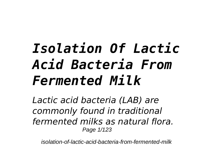## *Isolation Of Lactic Acid Bacteria From Fermented Milk*

*Lactic acid bacteria (LAB) are commonly found in traditional fermented milks as natural flora.* Page 1/123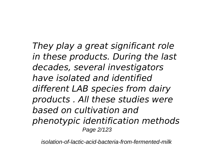*They play a great significant role in these products. During the last decades, several investigators have isolated and identified different LAB species from dairy products . All these studies were based on cultivation and phenotypic identification methods* Page 2/123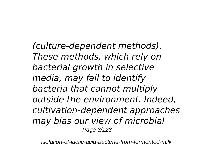*(culture-dependent methods). These methods, which rely on bacterial growth in selective media, may fail to identify bacteria that cannot multiply outside the environment. Indeed, cultivation-dependent approaches may bias our view of microbial* Page 3/123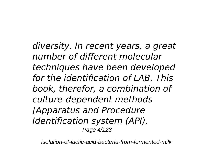*diversity. In recent years, a great number of different molecular techniques have been developed for the identification of LAB. This book, therefor, a combination of culture-dependent methods [Apparatus and Procedure Identification system (API),* Page 4/123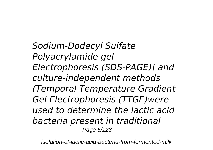*Sodium-Dodecyl Sulfate Polyacrylamide gel Electrophoresis (SDS-PAGE)] and culture-independent methods (Temporal Temperature Gradient Gel Electrophoresis (TTGE)were used to determine the lactic acid bacteria present in traditional* Page 5/123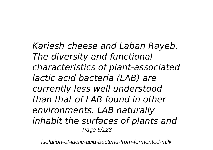*Kariesh cheese and Laban Rayeb. The diversity and functional characteristics of plant-associated lactic acid bacteria (LAB) are currently less well understood than that of LAB found in other environments. LAB naturally inhabit the surfaces of plants and* Page 6/123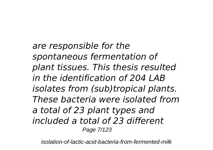*are responsible for the spontaneous fermentation of plant tissues. This thesis resulted in the identification of 204 LAB isolates from (sub)tropical plants. These bacteria were isolated from a total of 23 plant types and included a total of 23 different* Page 7/123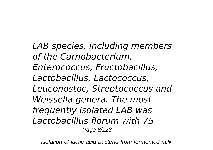*LAB species, including members of the Carnobacterium, Enterococcus, Fructobacillus, Lactobacillus, Lactococcus, Leuconostoc, Streptococcus and Weissella genera. The most frequently isolated LAB was Lactobacillus florum with 75* Page 8/123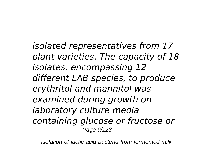*isolated representatives from 17 plant varieties. The capacity of 18 isolates, encompassing 12 different LAB species, to produce erythritol and mannitol was examined during growth on laboratory culture media containing glucose or fructose or* Page 9/123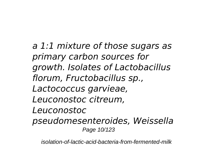*a 1:1 mixture of those sugars as primary carbon sources for growth. Isolates of Lactobacillus florum, Fructobacillus sp., Lactococcus garvieae, Leuconostoc citreum, Leuconostoc pseudomesenteroides, Weissella* Page 10/123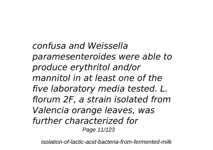*confusa and Weissella paramesenteroides were able to produce erythritol and/or mannitol in at least one of the five laboratory media tested. L. florum 2F, a strain isolated from Valencia orange leaves, was further characterized for* Page 11/123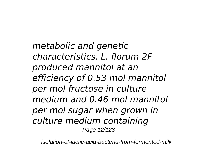*metabolic and genetic characteristics. L. florum 2F produced mannitol at an efficiency of 0.53 mol mannitol per mol fructose in culture medium and 0.46 mol mannitol per mol sugar when grown in culture medium containing* Page 12/123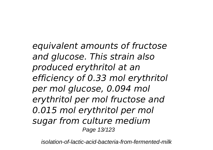*equivalent amounts of fructose and glucose. This strain also produced erythritol at an efficiency of 0.33 mol erythritol per mol glucose, 0.094 mol erythritol per mol fructose and 0.015 mol erythritol per mol sugar from culture medium* Page 13/123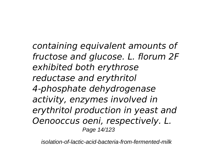*containing equivalent amounts of fructose and glucose. L. florum 2F exhibited both erythrose reductase and erythritol 4-phosphate dehydrogenase activity, enzymes involved in erythritol production in yeast and Oenooccus oeni, respectively. L.* Page 14/123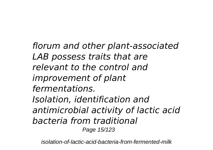*florum and other plant-associated LAB possess traits that are relevant to the control and improvement of plant fermentations. Isolation, identification and antimicrobial activity of lactic acid bacteria from traditional* Page 15/123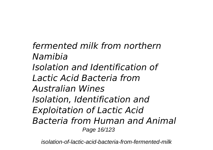*fermented milk from northern Namibia Isolation and Identification of Lactic Acid Bacteria from Australian Wines Isolation, Identification and Exploitation of Lactic Acid Bacteria from Human and Animal* Page 16/123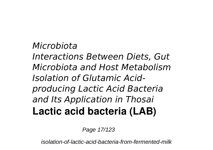*Microbiota Interactions Between Diets, Gut Microbiota and Host Metabolism Isolation of Glutamic Acidproducing Lactic Acid Bacteria and Its Application in Thosai* **Lactic acid bacteria (LAB)**

Page 17/123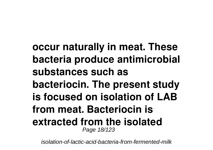**occur naturally in meat. These bacteria produce antimicrobial substances such as bacteriocin. The present study is focused on isolation of LAB from meat. Bacteriocin is extracted from the isolated** Page 18/123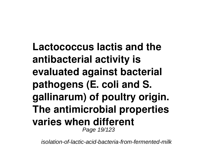**Lactococcus lactis and the antibacterial activity is evaluated against bacterial pathogens (E. coli and S. gallinarum) of poultry origin. The antimicrobial properties varies when different** Page 19/123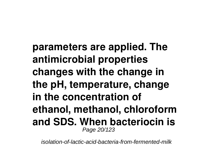**parameters are applied. The antimicrobial properties changes with the change in the pH, temperature, change in the concentration of ethanol, methanol, chloroform and SDS. When bacteriocin is** Page 20/123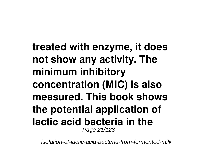**treated with enzyme, it does not show any activity. The minimum inhibitory concentration (MIC) is also measured. This book shows the potential application of lactic acid bacteria in the** Page 21/123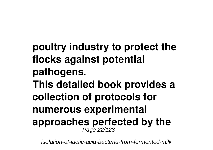**poultry industry to protect the flocks against potential pathogens. This detailed book provides a collection of protocols for numerous experimental approaches perfected by the** Page 22/123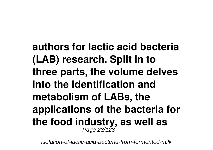**authors for lactic acid bacteria (LAB) research. Split in to three parts, the volume delves into the identification and metabolism of LABs, the applications of the bacteria for the food industry, as well as** Page 23/123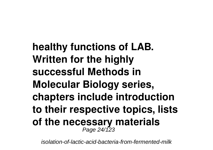**healthy functions of LAB. Written for the highly successful Methods in Molecular Biology series, chapters include introduction to their respective topics, lists of the necessary materials** Page 24/123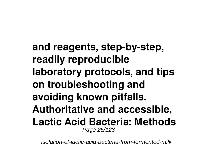**and reagents, step-by-step, readily reproducible laboratory protocols, and tips on troubleshooting and avoiding known pitfalls. Authoritative and accessible, Lactic Acid Bacteria: Methods** Page 25/123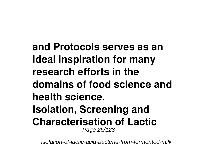**and Protocols serves as an ideal inspiration for many research efforts in the domains of food science and health science. Isolation, Screening and Characterisation of Lactic** Page 26/123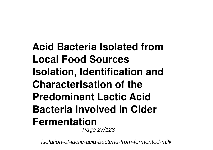**Acid Bacteria Isolated from Local Food Sources Isolation, Identification and Characterisation of the Predominant Lactic Acid Bacteria Involved in Cider Fermentation** Page 27/123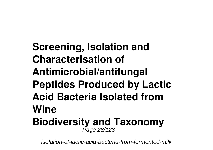**Screening, Isolation and Characterisation of Antimicrobial/antifungal Peptides Produced by Lactic Acid Bacteria Isolated from Wine Biodiversity and Taxonomy** Page 28/123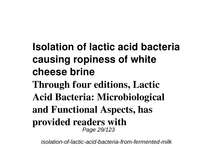**Isolation of lactic acid bacteria causing ropiness of white cheese brine Through four editions, Lactic Acid Bacteria: Microbiological and Functional Aspects, has provided readers with** Page 29/123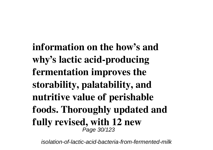**information on the how's and why's lactic acid-producing fermentation improves the storability, palatability, and nutritive value of perishable foods. Thoroughly updated and fully revised, with 12 new** Page 30/123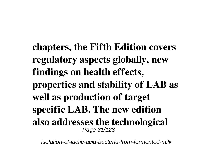**chapters, the Fifth Edition covers regulatory aspects globally, new findings on health effects, properties and stability of LAB as well as production of target specific LAB. The new edition also addresses the technological** Page 31/123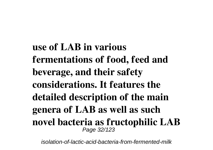**use of LAB in various fermentations of food, feed and beverage, and their safety considerations. It features the detailed description of the main genera of LAB as well as such novel bacteria as fructophilic LAB** Page 32/123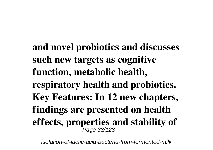**and novel probiotics and discusses such new targets as cognitive function, metabolic health, respiratory health and probiotics. Key Features: In 12 new chapters, findings are presented on health effects, properties and stability of** Page 33/123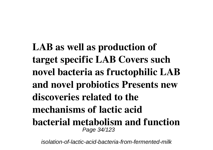**LAB as well as production of target specific LAB Covers such novel bacteria as fructophilic LAB and novel probiotics Presents new discoveries related to the mechanisms of lactic acid bacterial metabolism and function** Page 34/123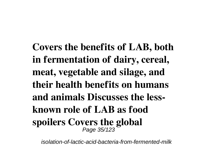**Covers the benefits of LAB, both in fermentation of dairy, cereal, meat, vegetable and silage, and their health benefits on humans and animals Discusses the lessknown role of LAB as food spoilers Covers the global** Page 35/123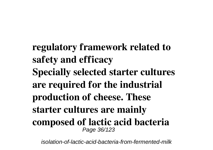**regulatory framework related to safety and efficacy Specially selected starter cultures are required for the industrial production of cheese. These starter cultures are mainly composed of lactic acid bacteria** Page 36/123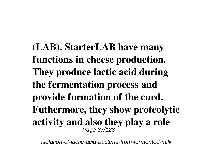**(LAB). StarterLAB have many functions in cheese production. They produce lactic acid during the fermentation process and provide formation of the curd. Futhermore, they show proteolytic activity and also they play a role** Page 37/123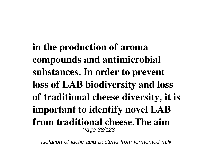**in the production of aroma compounds and antimicrobial substances. In order to prevent loss of LAB biodiversity and loss of traditional cheese diversity, it is important to identify novel LAB from traditional cheese.The aim** Page 38/123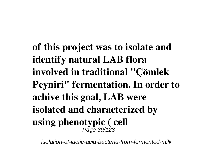**of this project was to isolate and identify natural LAB flora involved in traditional "Çömlek Peyniri" fermentation. In order to achive this goal, LAB were isolated and characterized by using phenotypic ( cell** Page 39/123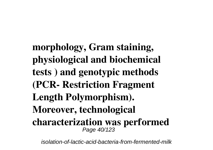**morphology, Gram staining, physiological and biochemical tests ) and genotypic methods (PCR- Restriction Fragment Length Polymorphism). Moreover, technological characterization was performed** Page 40/123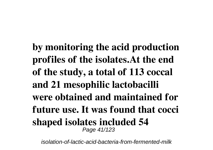**by monitoring the acid production profiles of the isolates.At the end of the study, a total of 113 coccal and 21 mesophilic lactobacilli were obtained and maintained for future use. It was found that cocci shaped isolates included 54** Page 41/123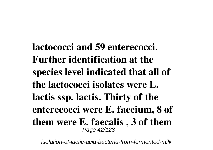**lactococci and 59 enterecocci. Further identification at the species level indicated that all of the lactococci isolates were L. lactis ssp. lactis. Thirty of the enterecocci were E. faecium, 8 of them were E. faecalis , 3 of them** Page 42/123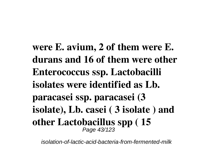**were E. avium, 2 of them were E. durans and 16 of them were other Enterococcus ssp. Lactobacilli isolates were identified as Lb. paracasei ssp. paracasei (3 isolate), Lb. casei ( 3 isolate ) and other Lactobacillus spp ( 15** Page 43/123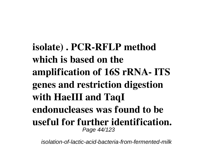**isolate) . PCR-RFLP method which is based on the amplification of 16S rRNA- ITS genes and restriction digestion with HaeIII and TaqI endonucleases was found to be useful for further identification.** Page 44/123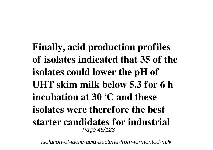**Finally, acid production profiles of isolates indicated that 35 of the isolates could lower the pH of UHT skim milk below 5.3 for 6 h incubation at 30 ʻC and these isolates were therefore the best starter candidates for industrial** Page 45/123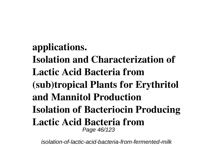**applications. Isolation and Characterization of Lactic Acid Bacteria from (sub)tropical Plants for Erythritol and Mannitol Production Isolation of Bacteriocin Producing Lactic Acid Bacteria from** Page 46/123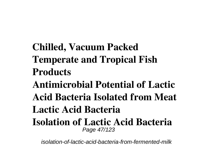**Chilled, Vacuum Packed Temperate and Tropical Fish Products Antimicrobial Potential of Lactic Acid Bacteria Isolated from Meat Lactic Acid Bacteria Isolation of Lactic Acid Bacteria** Page 47/123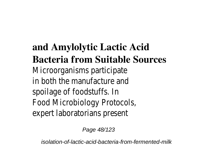## **and Amylolytic Lactic Acid Bacteria from Suitable Sources** Microorganisms participat in both the manufacture spoilage of foodstuffs. Food Microbiology Protoco expert laboratorians prese

Page 48/123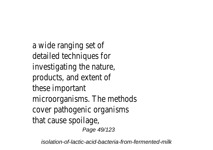a wide ranging set detailed techniques fo investigating the natur products, and extent these important microorganisms. The method cover pathogenic organism that cause spoilag Page 49/123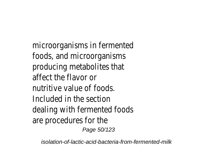$microorganisms$  in ferment foods, and microorganism producing metabolites that affect the flavor nutritive value of food Included in the section dealing with fermented food are procedures for t Page 50/123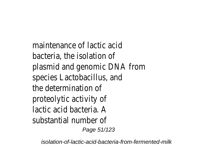maintenance of lactic ac bacteria, the isolation plasmid and genomic DNA from species Lactobacillus, an the determination proteolytic activity lactic acid bacteria. substantial number Page 51/123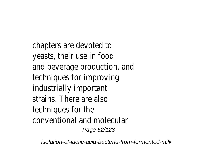chapters are devoted yeasts, their use in fo and beverage production, an techniques for improvir industrially importar strains. There are also techniques for the conventional and molecula Page 52/123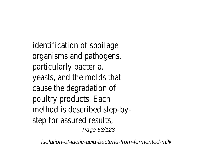identification of spoilad organisms and pathogen particularly bacteria, yeasts, and the molds that cause the degradation poultry products. Each method is described step-by step for assured resul Page 53/123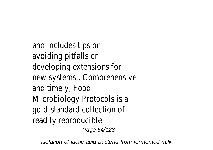and includes tips on avoiding pitfalls or developing extensions for new systems.. Comprehensiv and timely, Foo Microbiology Protocols is gold-standard collection readily reproducible

Page 54/123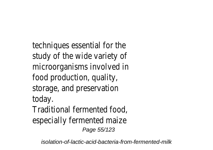techniques essential for the study of the wide variety microorganisms involved i food production, qualit storage, and preservation today Traditional fermented food especially fermented maiz Page 55/123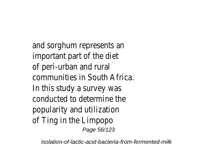and sorghum represents important part of the of peri-urban and rur communities in South Afric In this study a survey w conducted to determine popularity and utilization of Ting in the Limpo Page 56/123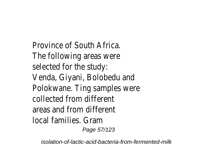Province of South Afric The following areas were selected for the stu Venda, Giyani, Bolobedu an Polokwane. Ting samples were collected from differe areas and from differe local families. Gram

Page 57/123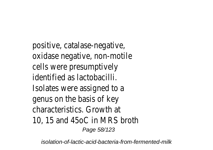positive, catalase-negative, oxidase negative, non-motil cells were presumptivel identified as lactobacil Isolates were assigned to genus on the basis of k characteristics. Growth 10, 15 and 45oC in MRS bro Page 58/123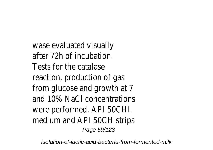wase evaluated visually after 72h of incubation Tests for the catala reaction, production of c from glucose and growth at and 10% NaCl concentration were performed. API 50CH medium and API 50CH stri Page 59/123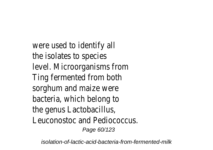were used to identify the isolates to specilevel. Microorganisms from Ting fermented from both sorghum and maize were bacteria, which belong the genus Lactobacillu Leuconostoc and Pediococcu Page 60/123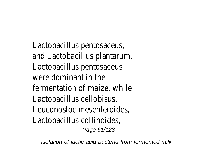Lactobacillus pentosaceus and Lactobacillus plantarur Lactobacillus pentosaceu were dominant in the fermentation of maize, when Lactobacillus cellobisus, Leuconostoc mesenteroide Lactobacillus collinoides, Page 61/123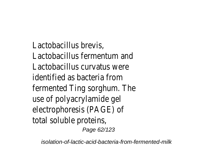Lactobacillus brevis, Lactobacillus fermentum and Lactobacillus curvatus were identified as bacteria from fermented Ting sorghum. The use of polyacrylamide g electrophoresis (PAGE) total soluble protein Page 62/123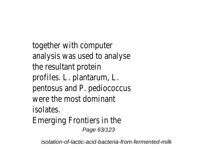together with comput analysis was used to analys the resultant prote profiles. L. plantarum, pentosus and P. pediococc were the most domina isolates. Emerging Frontiers in t Page 63/123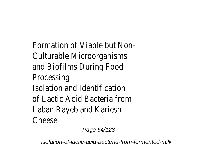Formation of Viable but No Culturable Microorganism and Biofilms During Food **Processing** Isolation and Identification of Lactic Acid Bacteria from Laban Rayeb and Karies Cheese

Page 64/123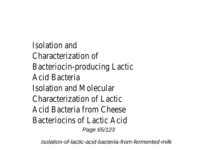Isolation and Characterization of Bacteriocin-producing Lacti Acid Bacteria Isolation and Molecular Characterization of Lact Acid Bacteria from Chees Bacteriocins of Lactic Ac Page 65/123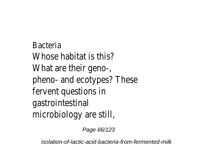Bacteria Whose habitat is this? What are their geno-, pheno- and ecotypes? These fervent questions in gastrointestinal microbiology are still,

Page 66/123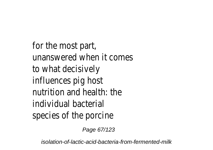for the most part, unanswered when it comes to what decisively influences pig host nutrition and health: the individual bacterial species of the porcine

Page 67/123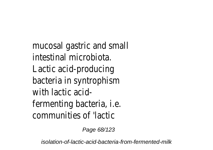mucosal gastric and small intestinal microbiota. Lactic acid-producing bacteria in syntrophism with lactic acidfermenting bacteria, i.e. communities of 'lactic

Page 68/123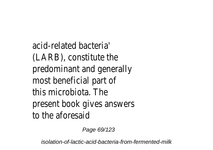acid-related bacteria' (LARB), constitute the predominant and generally most beneficial part of this microbiota. The present book gives answers to the aforesaid

Page 69/123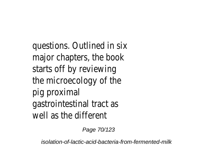questions. Outlined in six major chapters, the book starts off by reviewing the microecology of the pig proximal gastrointestinal tract as well as the different

Page 70/123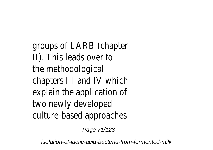groups of LARB (chapter II). This leads over to the methodological chapters III and IV which explain the application of two newly developed culture-based approaches

Page 71/123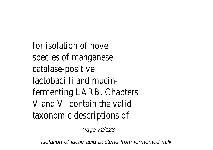for isolation of novel species of manganese catalase-positive lactobacilli and mucinfermenting LARB. Chapters V and VI contain the valid taxonomic descriptions of

Page 72/123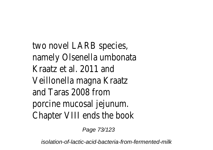two novel LARB species namely Olsenella umbonata Kraatz et al. 2011 and Veillonella magna Kraatz and Taras 2008 from porcine mucosal jejunum. Chapter VIII ends the book

Page 73/123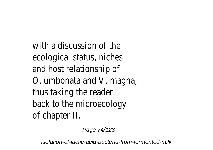with a discussion of the ecological status, niches and host relationship of O. umbonata and V. magna, thus taking the reader back to the microecology of chapter II.

Page 74/123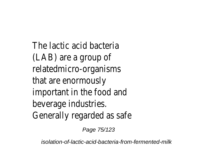The lactic acid bacteria (LAB) are a group of relatedmicro-organisms that are enormously important in the food and beverage industries. Generally regarded as safe

Page 75/123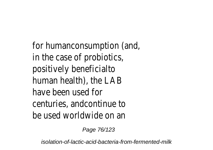for humanconsumption (and, in the case of probiotics, positively beneficialto human health), the LAB have been used for centuries, andcontinue to be used worldwide on an

Page 76/123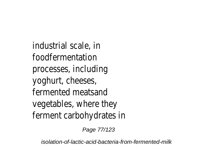industrial scale, in foodfermentation processes, including yoghurt, cheeses, fermented meatsand vegetables, where they ferment carbohydrates in

Page 77/123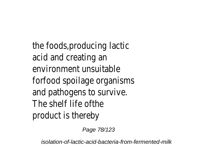the foods,producing lactic acid and creating an environment unsuitable forfood spoilage organisms and pathogens to survive. The shelf life ofthe product is thereby

Page 78/123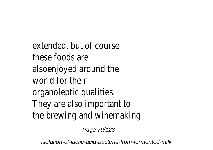extended, but of course these foods are alsoenjoyed around the world for their organoleptic qualities. They are also important to the brewing and winemaking

Page 79/123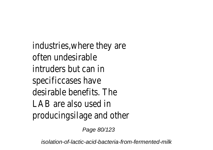industries,where they are often undesirable intruders but can in specificcases have desirable benefits. The LAB are also used in producingsilage and other

Page 80/123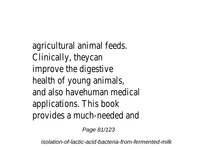agricultural animal feeds. Clinically, theycan improve the digestive health of young animals, and also havehuman medical applications. This book provides a much-needed and

Page 81/123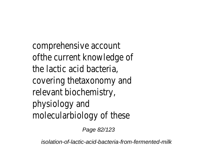comprehensive account of the current knowledge of the lactic acid bacteria, covering thetaxonomy and relevant biochemistry, physiology and molecularbiology of these

Page 82/123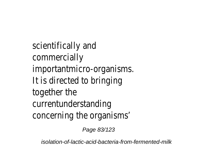scientifically and commercially importantmicro-organisms. It is directed to bringing together the currentunderstanding concerning the organisms'

Page 83/123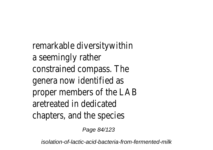remarkable diversity within a seemingly rather constrained compass. The genera now identified as proper members of the LAE aretreated in dedicated chapters, and the species

Page 84/123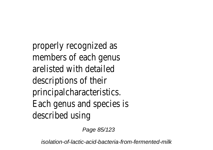properly recognized as members of each genus arelisted with detailed descriptions of their principalcharacteristics. Each genus and species is described using

Page 85/123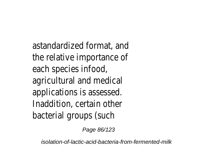astandardized format, and the relative importance of each species infood, agricultural and medical applications is assessed. Inaddition, certain other bacterial groups (such

Page 86/123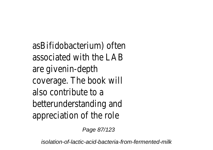asBifidobacterium) often associated with the LAB are givenin-depth coverage. The book will also contribute to a betterunderstanding and appreciation of the role

Page 87/123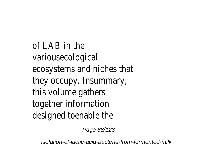of LAB in the variousecological ecosystems and niches that they occupy. Insummary, this volume gathers together information designed toenable the

Page 88/123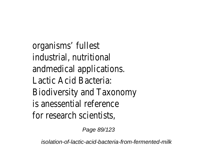organisms' fullest industrial, nutritional andmedical applications. Lactic Acid Bacteria: Biodiversity and Taxonomy is anessential reference for research scientists

Page 89/123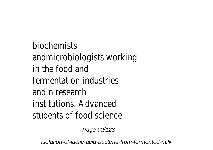biochemists andmicrobiologists working in the food and fermentation industries andin research institutions. Advanced students of food science

Page 90/123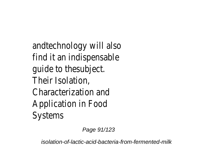andtechnology will also find it an indispensable guide to thesubject. Their Isolation, Characterization and Application in Food Systems

Page 91/123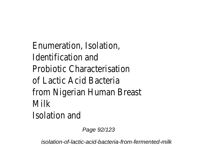Enumeration, Isolation, Identification and Probiotic Characterisation of Lactic Acid Bacteria from Nigerian Human Breast **Milk** Isolation and

Page 92/123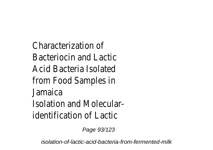Characterization of Bacteriocin and Lactic Acid Bacteria Isolated from Food Samples in Jamaica Isolation and Molecularidentification of Lactic

Page 93/123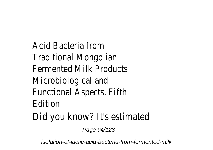Acid Bacteria from Traditional Mongolian Fermented Milk Products Microbiological and Functional Aspects, Fifth Edition Did you know? It's estimated

Page 94/123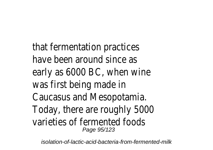that fermentation practices have been around since as early as 6000 BC, when wine was first being made in Caucasus and Mesopotamia. Today, there are roughly 5000 varieties of fermented foods Page 95/123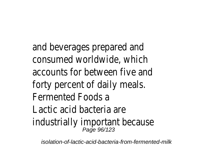and beverages prepared and consumed worldwide, which accounts for between five and forty percent of daily meals. Fermented Foods a Lactic acid bacteria are industrially important because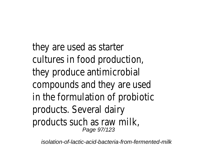they are used as starter cultures in food production, they produce antimicrobial compounds and they are used in the formulation of probiotic products. Several dairy products such as raw milk, Page 97/123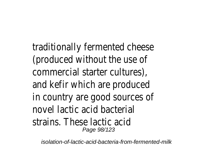traditionally fermented cheese (produced without the use of commercial starter cultures), and kefir which are produced in country are good sources of novel lactic acid bacterial strains. These lactic acid Page 98/123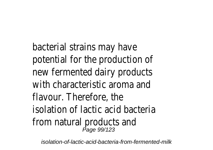bacterial strains may have potential for the production of new fermented dairy products with characteristic aroma and flavour. Therefore, the isolation of lactic acid bacteria from natural products and Page 99/123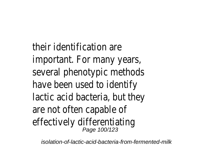their identification are important. For many years, several phenotypic methods have been used to identify lactic acid bacteria, but they are not often capable of effectively differentiating<br>Page 100/123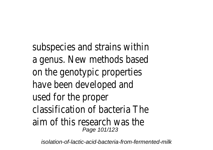subspecies and strains within a genus. New methods based on the genotypic properties have been developed and used for the proper classification of bacteria The aim of this research was the Page 101/123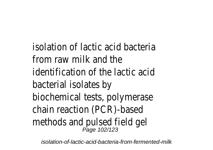isolation of lactic acid bacteria from raw milk and the identification of the lactic acid bacterial isolates by biochemical tests, polymerase chain reaction (PCR)-based methods and pulsed field gel Page 102/123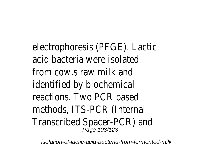electrophoresis (PFGE). Lactic acid bacteria were isolated from cows raw milk and identified by biochemical reactions. Two PCR based methods, ITS-PCR (Internal Transcribed Spacer-PCR) and Page 103/123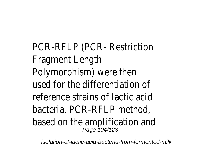PCR-RFLP (PCR- Restriction Fragment Length Polymorphism) were then used for the differentiation of reference strains of lactic acid bacteria. PCR-RFLP method, based on the amplification and Page 104/123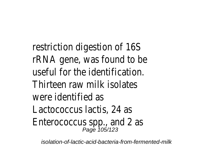restriction digestion of 16S rRNA gene, was found to be useful for the identification. Thirteen raw milk isolates were identified as Lactococcus lactis, 24 as Enterococcus spp., and 2 as Page 105/123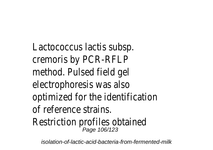Lactococcus lactis subsp. cremoris by PCR-RFLP method. Pulsed field gel electrophoresis was also optimized for the identification of reference strains. Restriction profiles obtained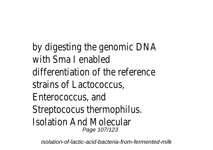by digesting the genomic DNA with Sma I enabled differentiation of the reference strains of Lactococcus, Enterococcus, and Streptococus thermophilus. Isolation And Molecular Page 107/123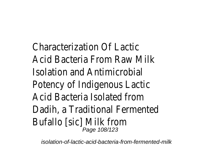Characterization Of Lactic Acid Bacteria From Raw Milk Isolation and Antimicrobial Potency of Indigenous Lactic Acid Bacteria Isolated from Dadih, a Traditional Fermented Bufallo [sic] Milk from Page 108/123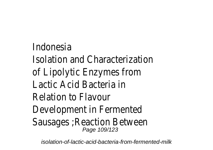Indonesia Isolation and Characterization of Lipolytic Enzymes from Lactic Acid Bacteria in Relation to Flavour Development in Fermented Sausages ;Reaction Between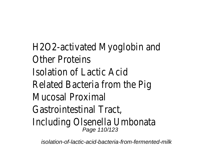H2O2-activated Myoglobin and Other Proteins Isolation of Lactic Acid Related Bacteria from the Pig Mucosal Proximal Gastrointestinal Tract, Including Olsenella Umbonata Page 110/123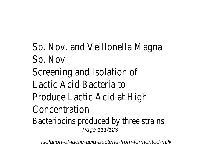Sp. Nov. and Veillonella Magna Sp. Nov Screening and Isolation of Lactic Acid Bacteria to Produce Lactic Acid at High Concentration Bacteriocins produced by three strains Page 111/123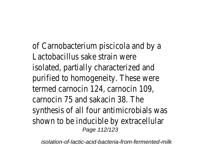of Carnobacterium piscicola and by a Lactobacillus sake strain were isolated, partially characterized and purified to homogeneity. These were termed carnocin 124, carnocin 109, carnocin 75 and sakacin 38. The synthesis of all four antimicrobials was shown to be inducible by extracellular Page 112/123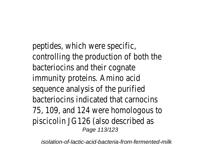peptides, which were specific, controlling the production of both the bacteriocins and their cognate immunity proteins. Amino acid sequence analysis of the purified bacteriocins indicated that carnocins 75, 109, and 124 were homologous to piscicolin JG126 (also described as Page 113/123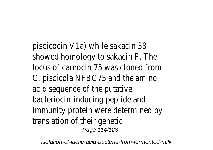piscicocin V1a) while sakacin 38 showed homology to sakacin P. The locus of carnocin 75 was cloned from C. piscicola NFBC75 and the amino acid sequence of the putative bacteriocin-inducing peptide and immunity protein were determined by translation of their genetic Page 114/123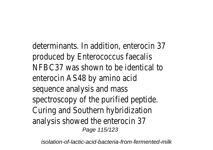determinants. In addition, enterocin 37 produced by Enterococcus faecalis NFBC37 was shown to be identical to enterocin AS48 by amino acid sequence analysis and mass spectroscopy of the purified peptide. Curing and Southern hybridization analysis showed the enterocin 37 Page 115/123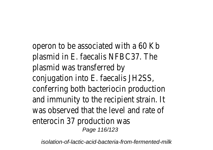operon to be associated with a 60 Kb plasmid in E. faecalis NFBC37. The plasmid was transferred by conjugation into E. faecalis JH2SS, conferring both bacteriocin production and immunity to the recipient strain. It was observed that the level and rate of enterocin 37 production was Page 116/123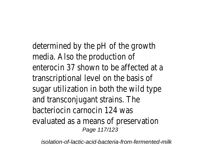determined by the pH of the growth media. Also the production of enterocin 37 shown to be affected at a transcriptional level on the basis of sugar utilization in both the wild type and transconjugant strains. The bacteriocin carnocin 124 was evaluated as a means of preservation Page 117/123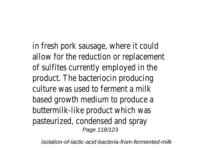in fresh pork sausage, where it could allow for the reduction or replacement of sulfites currently employed in the product. The bacteriocin producing culture was used to ferment a milk based growth medium to produce a buttermilk-like product which was pasteurized, condensed and spray Page 118/123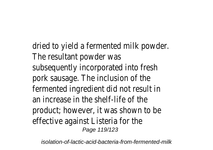dried to yield a fermented milk powder. The resultant powder was subsequently incorporated into fresh pork sausage. The inclusion of the fermented ingredient did not result in an increase in the shelf-life of the product; however, it was shown to be effective against Listeria for the Page 119/123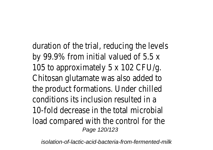duration of the trial, reducing the levels by 99.9% from initial valued of 5.5 x 105 to approximately 5 x 102 CFU/g. Chitosan glutamate was also added to the product formations. Under chilled conditions its inclusion resulted in a 10-fold decrease in the total microbial load compared with the control for the Page 120/123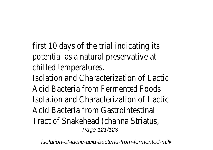first 10 days of the trial indicating its potential as a natural preservative at chilled temperatures.

Isolation and Characterization of Lactic Acid Bacteria from Fermented Foods Isolation and Characterization of Lactic Acid Bacteria from Gastrointestinal Tract of Snakehead (channa Striatus, Page 121/123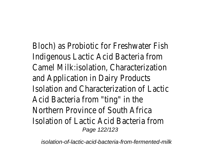Bloch) as Probiotic for Freshwater Fish Indigenous Lactic Acid Bacteria from Camel Milk:isolation, Characterization and Application in Dairy Products Isolation and Characterization of Lactic Acid Bacteria from "ting" in the Northern Province of South Africa Isolation of Lactic Acid Bacteria from Page 122/123